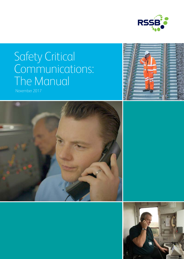

# Safety Critical Communications: The Manual

November 2017





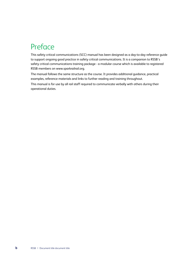# Preface

This safety critical communications (SCC) manual has been designed as a day-to-day reference guide to support ongoing good practice in safety critical communications. It is a companion to RSSB's safety critical communications training package - a modular course which is available to registered RSSB members on www.sparkrailrail.org.

The manual follows the same structure as the course. It provides additional guidance, practical examples, reference materials and links to further reading and training throughout.

This manual is for use by all rail staff required to communicate verbally with others during their operational duties.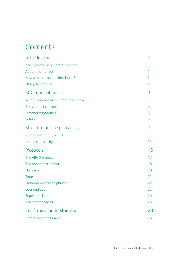# **Contents**

| Introduction                            | 1              |
|-----------------------------------------|----------------|
| The importance of communication         | 1              |
| About this manual                       | 1              |
| How was this manual developed?          | $\overline{2}$ |
| Using the manual                        | 2              |
| <b>SCC</b> foundation                   | 3              |
| What is safety critical communications? | 3              |
| The contract concept                    | 4              |
| Personal responsibility                 | 5              |
| Safety                                  | 6              |
| Structure and responsibility            | 7              |
| <b>Communication structure</b>          | 7              |
| Lead responsibility                     | 13             |
| Protocols                               | 16             |
| The ABC-P protocol                      | 17             |
| The phonetic alphabet                   | 18             |
| <b>Numbers</b>                          | 20             |
| Time                                    | 21             |
| Standard words and phrases              | 22             |
| Over and out                            | 23             |
| Repeat back                             | 24             |
| The emergency call                      | 25             |
| Confirming understanding                | 28             |
| <b>Communication barriers</b>           | 28             |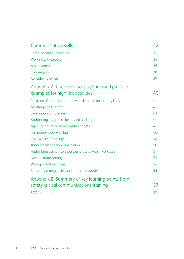| <b>Communication skills</b>                                   | 32 |
|---------------------------------------------------------------|----|
| Listening and questioning                                     | 32 |
| Working with people                                           | 35 |
| <b>Assertiveness</b>                                          | 36 |
| Challenging                                                   | 38 |
| Considering others                                            | 39 |
| Appendix A: Cue cards, scripts, and good practice             |    |
| examples for high risk activities                             | 40 |
| Provision of information to drivers detained on running lines | 41 |
| Assisting a failed train                                      | 42 |
| Examination of the line                                       | 43 |
| Authorising a signal to be passed at danger                   | 44 |
| Agreeing shunting moves within depots                         | 45 |
| Temporary block working                                       | 46 |
| <b>User Worked Crossings</b>                                  | 48 |
| Initial discussion for a possession                           | 50 |
| Authorising trains into a possession, and within worksites    | 51 |
| Manual route setting                                          | 53 |
| Wrong direction moves                                         | 54 |
| Reporting emergencies and abnormal events                     | 55 |
| Appendix B: Summary of key learning points from               |    |
| safety critical communications training                       | 57 |
| <b>SCC</b> foundation                                         | 57 |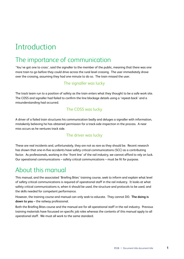# <span id="page-4-0"></span>Introduction

## The importance of communication

'You've got one to cross', said the signaller to the member of the public, meaning that there was one more train to go before they could drive across the rural level crossing. The user immediately drove over the crossing, assuming they had one minute to do so. The train missed the user.

### The signaller was lucky

The track team run to a position of safety as the train enters what they thought to be a safe work site. The COSS and signaller had failed to confirm the line blockage details using a 'repeat-back' and a misunderstanding had occurred.

### The COSS was lucky

A driver of a failed train structures his communication badly and deluges a signaller with information, mistakenly believing he has obtained permission for a track-side inspection in the process. A near miss occurs as he ventures track side.

### The driver was lucky

These are real incidents and, unfortunately, they are not as rare as they should be. Recent research has shown that one-in-five accidents have safety critical communications (SCC) as a contributing factor. As professionals, working in the 'front line' of the rail industry, we cannot afford to rely on luck. Our operational communications – safety critical communications – must be fit for purpose.

### About this manual

This manual, and the associated 'Briefing Bites' training course, seek to inform and explain what level of safety critical communications is required of operational staff in the rail industry. It looks at what safety critical communications is, when it should be used, the structure and protocols to be used, and the skills needed for competent performance.

However, the training course and manual can only seek to educate. They cannot DO. **The doing is down to you** – the railway professional.

Both the Briefing Bites course and the manual are for all operational staff in the rail industry. Previous training materials have focussed on specific job roles whereas the contents of this manual apply to all operational staff. We must all work to the same standard.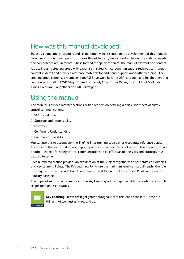## <span id="page-5-0"></span>How was this manual developed?

Industry engagement, research, and collaboration were essential to the development of this manual. Front line staff and managers from across the rail industry were consulted to identify end-user needs and competence requirements. These formed the specification for the manual's format and content.

A cross-industry steering group with expertise in safety critical communications reviewed all manual content in detail and provided reference materials for additional support and further learning. The steering group comprised members from RSSB, Network Rail, the ORR, and train and freight operating companies, including GWR, Virgin Trains East Coast, Arriva Trains Wales, Crossrail, East Midlands Trains, Colas Rail, Freightliner and GB Railfreight.

## Using the manual

The manual is divided into five sections, with each section detailing a particular aspect of safety critical communications.

- 1. SCC Foundation
- 2. Structure and responsibility
- 3. Protocols
- 4. Confirming Understanding
- 5. Communication skills

You can use this to accompany the Briefing Bites training course or as a separate reference guide. The order of the sections does not imply importance – one section is not more or less important than another. Indeed, for safety critical communications to be effective, **all** the skills and protocols must be used together.

Each numbered section provides an explanation of the subject together with best practice examples and Key Learning Points. The Key Learning Points are the minimum level we must all reach. Our role may require that we use additional communication skills, but the Key Learning Points represent an industry baseline.

The appendices provide a summary of the Key Learning Points, together with cue cards and example scripts for high risk activities.



**Key Learning Points are** highlighted throughout with this icon to the left. These are things that we must all know and do.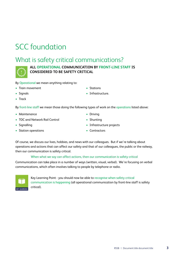# <span id="page-6-0"></span>SCC foundation

## What is safety critical communications?



### **ALL OPERATIONAL COMMUNICATION BY FRONT-LINE STAFF IS CONSIDERED TO BE SAFETY CRITICAL**

By Operational we mean anything relating to:

• Train movement

• Stations

• Signals

• Infrastructure.

• Track

By front-line staff we mean those doing the following types of work on the operations listed above:

- Maintenance
- TOC and Network Rail Control
- Signalling
- Station operations
- Driving • Shunting
- Infrastructure projects
- Contractors

Of course, we discuss our lives, hobbies, and news with our colleagues. But if we're talking about operations and actions that can affect our safety and that of our colleagues, the public or the railway, then our communication is safety critical.

#### When what we say can affect actions, then our communication is safety critical

Communication can take place in a number of ways (written, visual, verbal). We're focusing on verbal communications, which often involves talking to people by telephone or radio.



Key Learning Point - you should now be able to recognise when safety critical communication is happening (all operational communication by front-line staff is safety critical).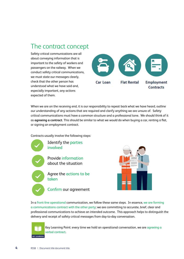## <span id="page-7-0"></span>The contract concept

Safety critical communications are all about conveying information that is important to the safety of workers and passengers on the railway. When we conduct safety critical communications, we must state our messages clearly, check that the other person has understood what we have said and, especially important, any actions expected of them.



When we are on the receiving end, it is our responsibility to repeat back what we have heard, outline our understanding of any actions that are required and clarify anything we are unsure of. Safety critical communications must have a common structure and a professional tone. We should think of it as **agreeing a contract**. This should be similar to what we would do when buying a car, renting a flat, or signing an employment contract.

Contracts usually involve the following steps:





In a front-line operational communication, we follow these same steps. In essence, we are forming a communications contract with the other party; we are committing to accurate, brief, clear and professional communications to achieve an intended outcome. This approach helps to distinguish the delivery and receipt of safety critical messages from day-to-day conversation.



Key Learning Point: every time we hold an operational conversation, we are agreeing a verbal contract.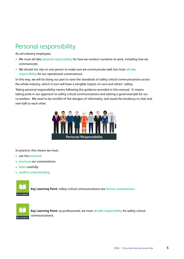# <span id="page-8-0"></span>Personal responsibility

As rail industry employees:

- We must all take personal responsibility for how we conduct ourselves at work, including how we communicate.
- We should not rely on one person to make sure we communicate well, but must all take responsibility for our operational conversations.

In this way, we will be doing our part to raise the standards of safety critical communications across the whole industry, which in turn will have a tangible impact on ours and others' safety.

Taking personal responsibility means following the guidance provided in this manual. It means taking pride in our approach to safety critical communications and setting a good example for our co-workers. We need to be mindful of the dangers of informality, and avoid the tendency to chat and over-talk to each other.



In practice, this means we must:

- use the protocols
- structure our conversations
- listen carefully
- confirm understanding



**Key Learning Point:** safety critical communications are formal conversations.



**Key Learning Point:** as professionals, we must all take responsibility for safety critical communications.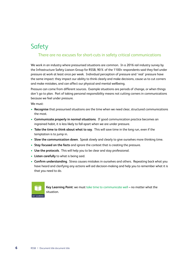## <span id="page-9-0"></span>Safety

### There are no excuses for short-cuts in safety critical communications

We work in an industry where pressurised situations are common. In a 2016 rail industry survey by the Infrastructure Safety Liaison Group for RSSB, 90% of the 1100+ respondents said they feel under pressure at work at least once per week. Individual perception of pressure and 'real' pressure have the same impact: they impact our ability to think clearly and make decisions, cause us to cut corners and make mistakes, and can affect our physical and mental wellbeing.

Pressure can come from different sources. Example situations are periods of change, or when things don't go to plan. Part of taking personal responsibility means not cutting corners in communications because we feel under pressure.

We must:

- **Recognise** that pressurised situations are the time when we need clear, structured communications the most.
- **Communicate properly in normal situations**. If good communication practice becomes an ingrained habit, it is less likely to fall apart when we are under pressure.
- **Take the time to think about what to say**. This will save time in the long run, even if the temptation is to jump in.
- **Slow the communication down**. Speak slowly and clearly to give ourselves more thinking time.
- **Stay focused on the facts** and ignore the context that is creating the pressure.
- **Use the protocols**. This will help you to be clear and stay professional.
- **Listen carefully** to what is being said.
- **Confirm understanding**. Stress causes mistakes in ourselves and others. Repeating back what you have heard and clarifying any actions will aid decision-making and help you to remember what it is that you need to do.



**Key Learning Point**: we must take time to communicate well – no matter what the situation.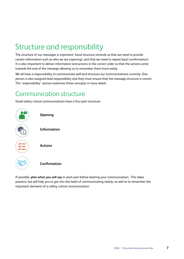# <span id="page-10-0"></span>Structure and responsibility

The structure of our messages is important. Good structure reminds us that we need to provide certain information such as who we are (opening), and that we need to repeat back (confirmation). It is also important to deliver information and actions in the correct order so that the actions come towards the end of the message allowing us to remember them more easily.

We all have a responsibility to communicate well and structure our communications correctly. One person is also assigned lead responsibility and they must ensure that the message structure is correct. The 'responsibility' section examines these concepts in more detail.

### Communication structure

Good safety critical communications have a four-part structure:



If possible, **plan what you will say** in each part before starting your communication. This takes practice, but will help you to get into the habit of communicating clearly, as well as to remember the important elements of a safety critical communication.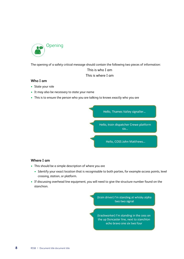

The opening of a safety critical message should contain the following two pieces of information:

### This is who I am This is where I am

#### **Who I am**

- State your role
- It may also be necessary to state your name
- This is to ensure the person who you are talking to knows exactly who you are



#### **Where I am**

- This should be a simple description of where you are
	- Identify your exact location that is recognisable to both parties, for example access points, level crossing, station, or platform.
- If discussing overhead line equipment, you will need to give the structure number found on the stanchion.

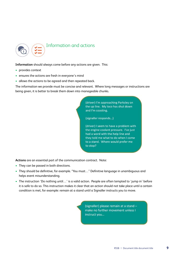

**Information** should always come before any actions are given. This:

- provides context
- ensures the actions are fresh in everyone's mind
- allows the actions to be agreed and then repeated back.

The information we provide must be concise and relevant. Where long messages or instructions are being given, it is better to break them down into manageable chunks.

> (driver) I'm approaching Parksley on the up line. My loco has shut down and I'm coasting.

(signaller responds...)

(driver) I seem to have a problem with the engine coolant pressure. I've just had a word with the help line and they told me what to do when I come to a stand. Where would prefer me to stop?

**Actions** are an essential part of the communication contract. Note:

- They can be passed in both directions.
- They should be definitive, for example. "You must…" Definitive language in unambiguous and helps event misunderstanding.
- The instruction 'Do nothing until…' is a valid action. People are often tempted to 'jump in' before it is safe to do so. This instruction makes it clear that an action should not take place until a certain condition is met, for example: remain at a stand until a Signaller instructs you to move.

(signaller) please remain at a stand make no further movement unless I instruct you...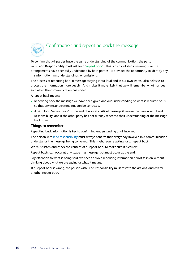# Confirmation and repeating back the message

To confirm that all parties have the same understanding of the communication, the person with **Lead Responsibility** must ask for a 'repeat back'. This is a crucial step in making sure the arrangements have been fully understood by both parties. It provides the opportunity to identify any misinformation, misunderstandings, or omissions.

The process of repeating back a message (saying it out loud and in our own words) also helps us to process the information more deeply. And makes it more likely that we will remember what has been said when the communication has ended.

A repeat back means:

- Repeating back the message we have been given and our understanding of what is required of us, so that any misunderstandings can be corrected.
- Asking for a 'repeat back' at the end of a safety critical message if we are the person with Lead Responsibility, and if the other party has not already repeated their understanding of the message back to us.

#### **Things to remember**

Repeating back information is key to confirming understanding of all involved.

The person with lead responsibility must always confirm that everybody involved in a communication understands the message being conveyed. This might require asking for a 'repeat back'.

We must listen and check the content of a repeat back to make sure it's correct.

Repeat backs can occur at any stage in a message, but must occur at the end.

Pay attention to what is being said: we need to avoid repeating information parrot fashion without thinking about what we are saying or what it means.

If a repeat back is wrong, the person with Lead Responsibility must restate the actions, and ask for another repeat back.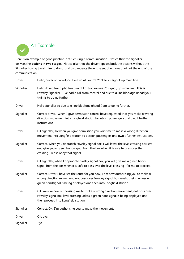

Here is an example of good practice in structuring a communication. Notice that the signaller delivers the **actions in two stages**. Notice also that the driver repeats back the actions without the Signaller having to ask him to do so, and also repeats the entire set of actions again at the end of the communication.

| <b>Driver</b> | Hello, driver of two alpha five two at Foxtrot Yankee 25 signal, up main line.                                                                                                                                                                     |
|---------------|----------------------------------------------------------------------------------------------------------------------------------------------------------------------------------------------------------------------------------------------------|
| Signaller     | Hello driver, two alpha five two at Foxtrot Yankee 25 signal, up main line. This is<br>Fawsley Signaller. I've had a call from control and due to a line blockage ahead your<br>train is to go no further.                                         |
| <b>Driver</b> | Hello signaller so due to a line blockage ahead I am to go no further.                                                                                                                                                                             |
| Signaller     | Correct driver. When I give permission control have requested that you make a wrong<br>direction movement into Longfield station to detrain passengers and await further<br>instructions.                                                          |
| <b>Driver</b> | OK signaller, so when you give permission you want me to make a wrong direction<br>movement into Longfield station to detrain passengers and await further instructions.                                                                           |
| Signaller     | Correct. When you approach Fawsley signal box, I will lower the level crossing barriers<br>and give you a green hand-signal from the box when it is safe to pass over the<br>crossing. Please obey that signal.                                    |
| <b>Driver</b> | OK signaller, when I approach Fawsley signal box, you will give me a green hand-<br>signal from the box when it is safe to pass over the level crossing - for me to proceed.                                                                       |
| Signaller     | Correct. Driver I have set the route for you now, I am now authorising you to make a<br>wrong direction movement, not pass over Fawsley signal box level crossing unless a<br>green handsignal is being displayed and then into Longfield station. |
| <b>Driver</b> | OK. You are now authorising me to make a wrong direction movement, not pass over<br>Fawsley signal box level crossing unless a green handsignal is being displayed and<br>then proceed into Longfield station.                                     |
| Signaller     | Correct. OK, I'm authorising you to make the movement.                                                                                                                                                                                             |
| <b>Driver</b> | OK, bye.                                                                                                                                                                                                                                           |
| Signaller     | Bye.                                                                                                                                                                                                                                               |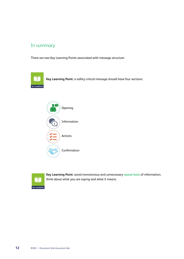### In summary

There are two Key Learning Points associated with message structure:



**Key Learning Point:** a safety critical message should have four sections:





**Key Learning Point:** avoid monotonous and unnecessary repeat-back of information; think about what you are saying and what it means.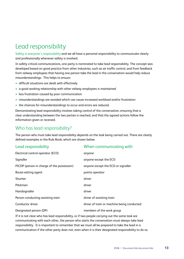# <span id="page-16-0"></span>Lead responsibility

Safety is everyone's responsibility and we all have a personal responsibility to communicate clearly and professionally whenever safety is involved.

In safety critical communications, one party is nominated to take lead responsibility. The concept was developed based on good practice from other industries, such as air traffic control, and from feedback from railway employees that having one person take the lead in the conversation would help reduce misunderstandings. This helps to ensure:

- difficult situations are dealt with effectively
- a good working relationship with other railway employees is maintained
- less frustration caused by poor communication
- misunderstandings are avoided which can cause increased workload and/or frustration
- the chances for misunderstandings to occur and errors are reduced.

Demonstrating lead responsibility involves taking control of the conversation, ensuring that a clear understanding between the two parties is reached, and that the agreed actions follow the information given or received.

### Who has lead responsibility?

The person who must take lead responsibility depends on the task being carried out. There are clearly defined examples in the Rule Book, which are shown below.

| Lead responsibility                        | When communicating with                    |
|--------------------------------------------|--------------------------------------------|
| Electrical control operator (ECO)          | anyone                                     |
| Signaller                                  | anyone except the ECO                      |
| PICOP (person in charge of the possession) | anyone except the ECO or signaller         |
| Route-setting agent                        | points operator                            |
| Shunter                                    | driver                                     |
| Pilotman                                   | driver                                     |
| Handsignaller                              | driver                                     |
| Person conducting assisting train          | driver of assisting train                  |
| Conductor driver                           | driver of train or machine being conducted |
| Designated person (DP)                     | members of the work group                  |

If it is not clear who has lead responsibility, or if two people carrying out the same task are communicating with each other, the person who starts the conversation must always take lead responsibility. It is important to remember that we must all be prepared to take the lead in a communication if the other party does not, even when it is their designated responsibility to do so.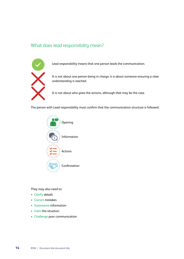### What does lead responsibility mean?



Lead responsibility means that one person leads the communication.

It is not about one person being in charge, it is about someone ensuring a clear understanding is reached.

It is not about who gives the actions, although that may be the case.

The person with Lead responsibility must confirm that the communication structure is followed:

| Opening        |
|----------------|
| Information    |
| <b>Actions</b> |
| Confirmation   |

They may also need to:

- Clarify details
- Correct mistakes
- Summarise information
- Calm the situation
- Challenge poor communication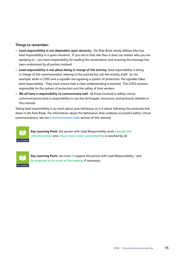#### **Things to remember:**

- **Lead responsibility is not dependent upon seniority:** the Rule Book clearly defines who has lead responsibility in a given situation. If you are in that role then it does not matter who you are speaking to – you have responsibility for leading the conversation and ensuring the message has been understood by all parties involved.
- **Lead responsibility is not about being in charge of the activity:** lead responsibility is being in charge of the communication relating to the activity but not the activity itself. So, for example, when a COSS and a signaller are agreeing a system of protection, the signaller takes lead responsibility. They must ensure that a clear understanding is reached. The COSS remains responsible for the system of protection and the safety of their workers.
- **We all have a responsibility to communicate well:** all those involved in safety critical communications have a responsibility to use the techniques, structures, and protocols detailed in this manual.

Taking lead responsibility is as much about your behaviour as it is about following the protocols laid down in the Rule Book. For information about the behaviours that underpin successful safety critical communications, see the Communications skills section of this manual.



**Key Learning Point:** the person with Lead Responsibility must manage the communication and ensure that a clear understanding is reached by all.



**Key Learning Point:** we must all support the person with Lead Responsibility - and be prepared to do some of the leading, if necessary.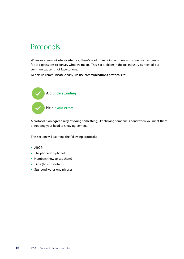# <span id="page-19-0"></span>Protocols

When we communicate face-to face, there's a lot more going on than words; we use gestures and facial expressions to convey what we mean. This is a problem in the rail industry as most of our communication is not face-to-face.

To help us communicate clearly, we use **communications protocols** to:



A protocol is an **agreed way of doing something**, like shaking someone's hand when you meet them or nodding your head to show agreement.

This section will examine the following protocols:

- ABC-P
- The phonetic alphabet
- Numbers (how to say them)
- Time (how to state it)
- Standard words and phrases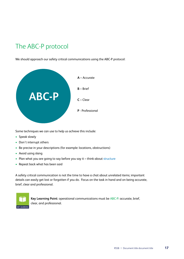# <span id="page-20-0"></span>The ABC-P protocol

We should approach our safety critical communications using the ABC-P protocol:



Some techniques we can use to help us achieve this include:

- Speak slowly
- Don't interrupt others
- Be precise in your descriptions (for example: locations, obstructions)
- Avoid using slang
- Plan what you are going to say before you say it think about structure
- Repeat back what has been said

A safety critical communication is not the time to have a chat about unrelated items; important details can easily get lost or forgotten if you do. Focus on the task in hand and on being accurate, brief, clear and professional.



**Key Learning Point:** operational communications must be ABC-P: accurate, brief, clear, and professional.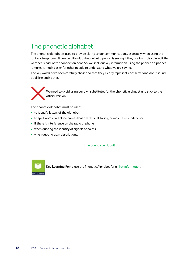# <span id="page-21-0"></span>The phonetic alphabet

The phonetic alphabet is used to provide clarity to our communications, especially when using the radio or telephone. It can be difficult to hear what a person is saying if they are in a noisy place, if the weather is bad, or the connection poor. So, we spell out key information using the phonetic alphabet it makes it much easier for other people to understand what we are saying.

The key words have been carefully chosen so that they clearly represent each letter and don't sound at all like each other.



We need to avoid using our own substitutes for the phonetic alphabet and stick to the official version.

The phonetic alphabet must be used:

- to identify letters of the alphabet
- to spell words and place names that are difficult to say, or may be misunderstood
- if there is interference on the radio or phone
- when quoting the identity of signals or points
- when quoting train descriptions.

If in doubt, spell it out!



**Key Learning Point:** use the Phonetic Alphabet for all key information.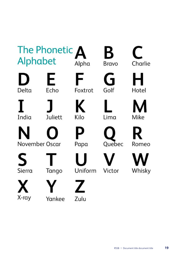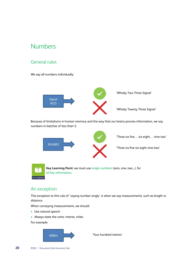### <span id="page-23-0"></span>Numbers

### General rules

We say all numbers individually:



Because of limitations in human memory and the way that our brains process information, we say numbers in batches of less than 5.





'Three six five… six eight… nine two'

'Three six five six eight nine two'



**Key Learning Point:** we must use single numbers (zero, one, two...), for all key information.

### An exception

The exception to this rule of 'saying number singly' is when we say measurements, such as length or distance.

When conveying measurements, we should:

- Use natural speech
- Always state the units: metres, miles

For example:



'Four hundred metres'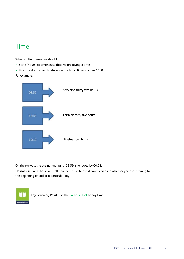### <span id="page-24-0"></span>Time

When stating times, we should:

- State 'hours' to emphasise that we are giving a time
- Use 'hundred hours' to state 'on the hour' times such as 1100 For example:

'Zero nine thirty-two hours' 09:32 'Thirteen forty-five hours' 13:45 'Nineteen ten hours' 19:10

On the railway, there is no midnight. 23:59 is followed by 00:01.

**Do not use** 24:00 hours or 00:00 hours. This is to avoid confusion as to whether you are referring to the beginning or end of a particular day.



**Key Learning Point:** use the 24-hour clock to say time.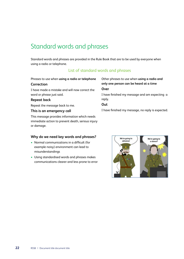# <span id="page-25-0"></span>Standard words and phrases

Standard words and phrases are provided in the Rule Book that are to be used by everyone when using a radio or telephone.

### List of standard words and phrases

Phrases to use when **using a radio or telephone**

#### **Correction**

I have made a mistake and will now correct the word or phrase just said.

#### **Repeat back**

Repeat the message back to me.

#### **This is an emergency call**

This message provides information which needs immediate action to prevent death, serious injury or damage.

#### **Why do we need key words and phrases?**

- Normal communications in a difficult (for example noisy) environment can lead to misunderstandings
- Using standardised words and phrases makes communications clearer and less prone to error

Other phrases to use when **using a radio and only one person can be heard at a time Over** I have finished my message and am expecting a

reply.

**Out**

I have finished my message, no reply is expected.

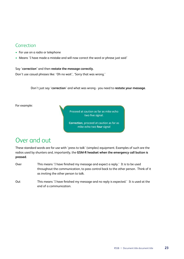### <span id="page-26-0"></span>Correction

- For use on a radio or telephone
- Means 'I have made a mistake and will now correct the word or phrase just said'

### Say '**correction'** and then **restate the message correctly.**

Don't use casual phrases like: 'Oh no wait', 'Sorry that was wrong.'

Don't just say '**correction**' and what was wrong - you need to **restate your message**.

For example:

Proceed at caution as far as mike echo two five signal.

Correction, proceed at caution as far as mike echo two four signal

### Over and out

These standard words are for use with 'press to talk' (simplex) equipment. Examples of such are the radios used by shunters and, importantly, the **GSM-R headset when the emergency call button is pressed**.

- Over This means 'I have finished my message and expect a reply.' It is to be used throughout the communication, to pass control back to the other person. Think of it as inviting the other person to talk.
- Out This means 'I have finished my message and no reply is expected.' It is used at the end of a communication.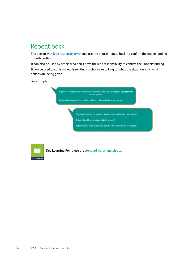# <span id="page-27-0"></span>Repeat back

The person with lead responsibility should use the phrase 'repeat back' to confirm the understanding of both parties.

It can also be used by others who don't have the lead responsibility to confirm their understanding. It can be used to confirm details relating to who we're talking to, what the situation is, or what actions are being given.

For example:

Signaller: Proceed at caution as far as mike echo two four signal. Repeat back to me, please.

Driver: I can proceed at caution as far as mike echo two four signal

Signaller: Proceed at caution as far as mike echo two four signal

Driver: Can I have a repeat back, please?

Signaller: Proceed at caution as far as mike echo two four signal



**Key Learning Point:** use the standard words and phrases.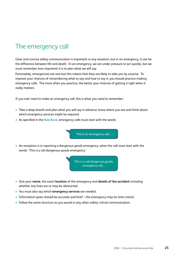## <span id="page-28-0"></span>The emergency call

Clear and concise safety communication is important in any situation, but in an emergency, it can be the difference between life and death. In an emergency, we are under pressure to act quickly, but we must remember how important it is to plan what we will say.

Fortunately, emergencies are rare but this means that they are likely to take you by surprise. To improve your chances of remembering what to say and how to say it, you should practice making emergency calls. The more often you practice, the better your chances of getting it right when it really matters.

If you ever need to make an emergency call, this is what you need to remember:

- Take a deep breath and plan what you will say in advance: know where you are and think about which emergency services might be required.
- As specified in the Rule Book, emergency calls must start with the words:

This is an emergency call...

• An exception is in reporting a dangerous goods emergency, when the call must start with the words: 'This is a rail dangerous goods emergency.'

> This is a rail dangerous goods emergency call...

- Give your **name**, the exact **location** of the emergency and **details of the accident** including whether any lines are or may be obstructed.
- You must also say which **emergency services** are needed.
- Information given should be accurate and brief the emergency may be time critical.
- Follow the same structure as you would in any other safety critical communication.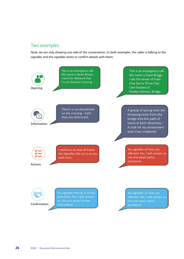### Two examples

Note, we are only showing one side of the conversation. In both examples, the caller is talking to the signaller and the signaller starts to confirm details with them:

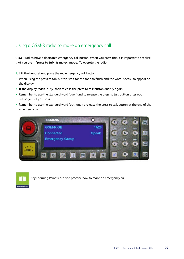### Using a GSM-R radio to make an emergency call

GSM-R radios have a dedicated emergency call button. When you press this, it is important to realise that you are in '**press to talk**' (simplex) mode. To operate the radio:

- 1. Lift the handset and press the red emergency call button.
- 2. When using the press to talk button, wait for the tone to finish and the word 'speak' to appear on the display.
- 3. If the display reads 'busy' then release the press to talk button and try again.
- Remember to use the standard word 'over' and to release the press to talk button after each message that you pass.
- Remember to use the standard word 'out' and to release the press to talk button at the end of the emergency call.





Key Learning Point: learn and practice how to make an emergency call.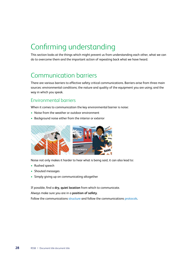# <span id="page-31-0"></span>Confirming understanding

This section looks at the things which might prevent us from understanding each other, what we can do to overcome them and the important action of repeating back what we have heard.

## Communication barriers

There are various barriers to effective safety critical communications. Barriers arise from three main sources: environmental conditions; the nature and quality of the equipment you are using; and the way in which you speak.

### Environmental barriers

When it comes to communication the key environmental barrier is noise:

- Noise from the weather or outdoor environment
- Background noise either from the interior or exterior



Noise not only makes it harder to hear what is being said, it can also lead to:

- Rushed speech
- Shouted messages
- Simply giving up on communicating altogether

If possible, find a **dry, quiet location** from which to communicate.

#### Always make sure you are in a **position of safety**.

Follow the communications structure and follow the communications protocols.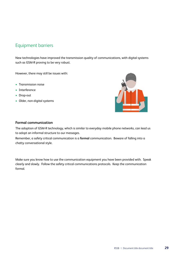### Equipment barriers

New technologies have improved the transmission quality of communications, with digital systems such as GSM-R proving to be very robust.

However, there may still be issues with:

- Transmission noise
- Interference
- Drop-out
- Older, non-digital systems



#### **Formal communication**

The adoption of GSM-R technology, which is similar to everyday mobile phone networks, can lead us to adopt an informal structure to our messages.

Remember, a safety critical communication is a **formal** communication. Beware of falling into a chatty conversational style.

Make sure you know how to use the communication equipment you have been provided with. Speak clearly and slowly. Follow the safety critical communications protocols. Keep the communication formal.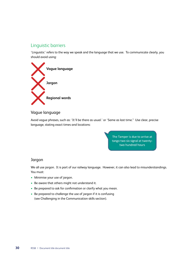### Linguistic barriers

'Linguistic' refers to the way we speak and the language that we use. To communicate clearly, you should avoid using:



### Vague language

Avoid vague phrases, such as: 'It'll be there as usual.' or 'Same as last time." Use clear, precise language, stating exact times and locations:

> The Tamper is due to arrive at tango two six signal at twentytwo hundred hours

### Jargon

We all use jargon. It is part of our railway language. However, it can also lead to misunderstandings. You must:

- Minimise your use of jargon.
- Be aware that others might not understand it.
- Be prepared to ask for confirmation or clarify what you mean.
- Be prepared to challenge the use of jargon if it is confusing (see Challenging in the Communication skills section).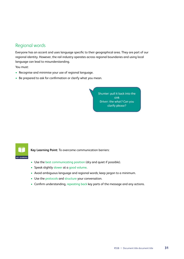### Regional words

Everyone has an accent and uses language specific to their geographical area. They are part of our regional identity. However, the rail industry operates across regional boundaries and using local language can lead to misunderstanding.

You must:

- Recognise and minimise your use of regional language.
- Be prepared to ask for confirmation or clarify what you mean.

Shunter: pull it back into the sink Driver: the what? Can you clarify please?



**Key Learning Point:** To overcome communication barriers:

- Use the best communicating position (dry and quiet if possible).
- Speak slightly slower at a good volume.
- Avoid ambiguous language and regional words; keep jargon to a minimum.
- Use the protocols and structure your conversation.
- Confirm understanding, repeating back key parts of the message and any actions.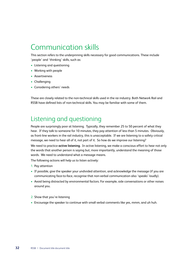# <span id="page-35-0"></span>Communication skills

This section refers to the underpinning skills necessary for good communications. These include 'people' and 'thinking' skills, such as:

- Listening and questioning
- Working with people
- Assertiveness
- Challenging
- Considering others' needs

These are closely related to the non-technical skills used in the rai industry. Both Network Rail and RSSB have defined lists of non-technical skills. You may be familiar with some of them.

## Listening and questioning

People are surprisingly poor at listening. Typically, they remember 25 to 50 percent of what they hear. If they talk to someone for 10 minutes, they pay attention of less than 5 minutes. Obviously, as front-line workers in the rail industry, this is unacceptable. If we are listening to a safety critical message, we need to hear all of it, not part of it. So how do we improve our listening?

We need to practice **active listening**. In active listening, we make a conscious effort to hear not only the words that another person is saying but, more importantly, understand the meaning of those words. We need to understand what a message means.

The following actions will help us to listen actively:

- 1. Pay attention
- If possible, give the speaker your undivided attention, and acknowledge the message (if you are communicating face-to-face, recognise that non-verbal communication also 'speaks' loudly).
- Avoid being distracted by environmental factors. For example, side conversations or other noises around you.
- 2. Show that you're listening
- Encourage the speaker to continue with small verbal comments like yes, mmm, and uh huh.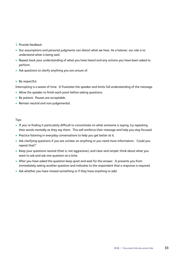#### 3. Provide feedback

- Our assumptions and personal judgments can distort what we hear. As a listener, our role is to understand what is being said.
- Repeat back your understanding of what you have heard and any actions you have been asked to perform.
- Ask questions to clarify anything you are unsure of.

#### 4. Be respectful

Interrupting is a waste of time. It frustrates the speaker and limits full understanding of the message.

- Allow the speaker to finish each point before asking questions.
- Be patient. Pauses are acceptable.
- Remain neutral and non-judgemental.

#### Tips:

- If you're finding it particularly difficult to concentrate on what someone is saying, try repeating their words mentally as they say them. This will reinforce their message and help you stay focused.
- Practice listening in everyday conversations to help you get better at it.
- Ask clarifying questions if you are unclear on anything or you need more information: 'Could you repeat that?'
- Keep your questions neutral (that is, not aggressive), and clear and simple: think about what you want to ask and ask one question at a time.
- After you have asked the question keep quiet and wait for the answer. It prevents you from immediately asking another question and indicates to the respondent that a response is required.
- Ask whether you have missed something or if they have anything to add.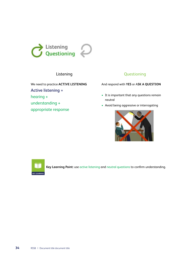

### Listening

We need to practice **ACTIVE LISTENING**

**Active listening =**

hearing +

understanding +

appropriate response

### Questioning

And respond with **YES** or A**SK A QUESTION**

- It is important that any questions remain neutral
- Avoid being aggressive or interrogating





**Key Learning Point:** use active listening and neutral questions to confirm understanding.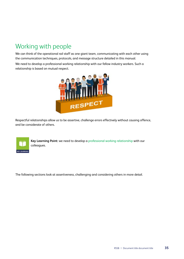# <span id="page-38-0"></span>Working with people

We can think of the operational rail staff as one giant team, communicating with each other using the communication techniques, protocols, and message structure detailed in this manual.

We need to develop a professional working relationship with our fellow industry workers. Such a relationship is based on mutual respect.



Respectful relationships allow us to be assertive, challenge errors effectively without causing offence, and be considerate of others.



**Key Learning Point:** we need to develop a professional working relationship with our colleagues.

The following sections look at assertiveness, challenging and considering others in more detail.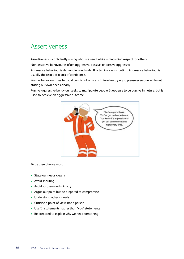### <span id="page-39-0"></span>Assertiveness

Assertiveness is confidently saying what we need, while maintaining respect for others.

Non-assertive behaviour is often aggressive, passive, or passive-aggressive.

Aggressive behaviour is demanding and rude. It often involves shouting. Aggressive behaviour is usually the result of a lack of confidence.

Passive behaviour tries to avoid conflict at all costs. It involves trying to please everyone while not stating our own needs clearly.

Passive-aggressive behaviour seeks to manipulate people. It appears to be passive in nature, but is used to achieve an aggressive outcome.



To be assertive we must:

- State our needs clearly
- Avoid shouting
- Avoid sarcasm and mimicry
- Argue our point but be prepared to compromise
- Understand other's needs
- Criticise a point of view, not a person
- Use 'I' statements, rather than 'you' statements
- Be prepared to explain why we need something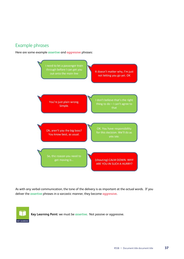### Example phrases

Here are some example assertive and aggressive phrases:



As with any verbal communication, the tone of the delivery is as important at the actual words. If you deliver the assertive phrases in a sarcastic manner, they become aggressive.



**Key Learning Point:** we must be assertive. Not passive or aggressive.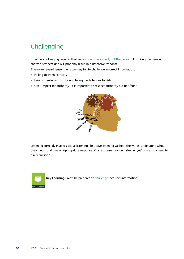# <span id="page-41-0"></span>**Challenging**

Effective challenging requires that we focus on the subject, not the person. Attacking the person shows disrespect and will probably result in a defensive response.

There are several reasons why we may fail to challenge incorrect information:

- Failing to listen correctly
- Fear of making a mistake and being made to look foolish
- Over-respect for authority it is important to respect authority but not fear it



Listening correctly involves active listening. In active listening we hear the words, understand what they mean, and give an appropriate response. Our response may be a simple 'yes' or we may need to ask a question.



**Key Learning Point:** be prepared to challenge incorrect information.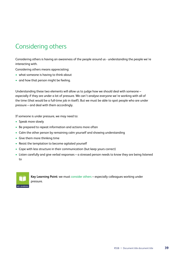# <span id="page-42-0"></span>Considering others

Considering others is having an awareness of the people around us - understanding the people we're interacting with.

Considering others means appreciating:

- what someone is having to think about
- and how that person might be feeling.

Understanding these two elements will allow us to judge how we should deal with someone – especially if they are under a lot of pressure. We can't analyse everyone we're working with all of the time (that would be a full-time job in itself). But we must be able to spot people who are under pressure – and deal with them accordingly.

If someone is under pressure, we may need to:

- Speak more slowly
- Be prepared to repeat information and actions more often
- Calm the other person by remaining calm yourself and showing understanding
- Give them more thinking time
- Resist the temptation to become agitated yourself
- Cope with less structure in their communication (but keep yours correct)
- Listen carefully and give verbal responses a stressed person needs to know they are being listened to



**Key Learning Point:** we must consider others – especially colleagues working under pressure.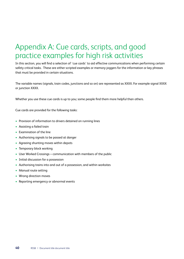# <span id="page-43-0"></span>Appendix A: Cue cards, scripts, and good practice examples for high risk activities

In this section, you will find a selection of 'cue cards' to aid effective communications when performing certain safety critical tasks. These are either scripted examples or memory-joggers for the information or key phrases that must be provided in certain situations.

The variable names (signals, train codes, junctions and so on) are represented as XXXX. For example signal XXXX or junction XXXX.

Whether you use these cue cards is up to you; some people find them more helpful than others.

Cue cards are provided for the following tasks:

- Provision of information to drivers detained on running lines
- Assisting a failed train
- Examination of the line
- Authorising signals to be passed at danger
- Agreeing shunting moves within depots
- Temporary block working
- User Worked Crossings communication with members of the public
- Initial discussion for a possession
- Authorising trains into and out of a possession, and within worksites
- Manual route setting
- Wrong direction moves
- Reporting emergency or abnormal events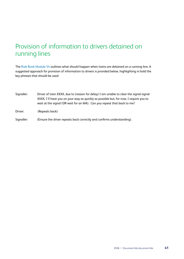## <span id="page-44-0"></span>Provision of information to drivers detained on running lines

The Rule Book Module S4 outlines what should happen when trains are detained on a running line. A suggested approach for provision of information to drivers is provided below, highlighting in bold the key phrases that should be used.

Signaller: Driver of train XXXX, due to (reason for delay) I am unable to clear the signal signal XXXX. I'll have you on your way as quickly as possible but, for now, I require you to wait at the signal (OR wait for an MA). Can you repeat that back to me?

Driver: (Repeats back)

Signaller: (Ensure the driver repeats back correctly and confirms understanding).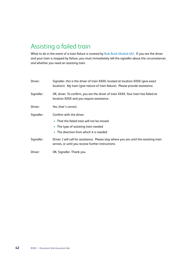# <span id="page-45-0"></span>Assisting a failed train

What to do in the event of a train failure is covered by Rule Book Module M2. If you are the driver and your train is stopped by failure, you must immediately tell the signaller about the circumstances and whether you need an assisting train.

| Driver:    | Signaller, this is the driver of train XXXX, located at location XXXX (give exact<br>location). My train (give nature of train failure). Please provide assistance. |
|------------|---------------------------------------------------------------------------------------------------------------------------------------------------------------------|
| Signaller: | OK, driver. To confirm, you are the driver of train XXXX. Your train has failed at<br>location XXXX and you require assistance.                                     |
| Driver:    | Yes, that's correct.                                                                                                                                                |
| Signaller: | Confirm with the driver:<br>• That the failed train will not be moved<br>• The type of assisting train needed<br>• The direction from which it is needed            |
| Signaller: | Driver, I will call for assistance. Please stay where you are until the assisting train<br>arrives, or until you receive further instructions.                      |
| Driver:    | OK, Signaller. Thank you.                                                                                                                                           |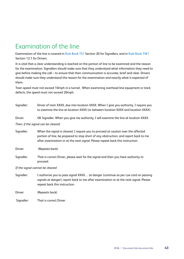## <span id="page-46-0"></span>Examination of the line

Examination of the line is covered in Rule Book TS1 Section 20 for Signallers, and in Rule Book TW1 Section 12.1 for Drivers.

It is vital that a clear understanding is reached on the portion of line to be examined and the reason for the examination. Signallers should make sure that they understand what information they need to give before making the call – to ensure that their communication is accurate, brief and clear. Drivers should make sure they understand the reason for the examination and exactly what is expected of them.

Train speed must not exceed 10mph in a tunnel. When examining overhead line equipment or track defects, the speed must not exceed 20mph.

| Signaller: | Driver of train XXXX, due into location XXXX. When I give you authority, I require you<br>to examine the line at location XXXX (or between location XXXX and location XXXX)                                                                                |
|------------|------------------------------------------------------------------------------------------------------------------------------------------------------------------------------------------------------------------------------------------------------------|
| Driver:    | OK Signaller. When you give me authority, I will examine the line at location XXXX.                                                                                                                                                                        |
|            | Then, if the signal can be cleared:                                                                                                                                                                                                                        |
| Signaller: | When the signal is cleared, I require you to proceed at caution over the affected<br>portion of line, be prepared to stop short of any obstruction, and report back to me<br>after examination or at the next signal. Please repeat back this instruction. |
| Driver:    | (Repeats back)                                                                                                                                                                                                                                             |
| Signaller: | That is correct Driver, please wait for the signal and then you have authority to<br>proceed.                                                                                                                                                              |
|            | If the signal cannot be cleared:                                                                                                                                                                                                                           |

Signaller: I authorise you to pass signal XXXX… at danger (continue as per cue card on passing signals at danger), report back to me after examination or at the next signal. Please repeat back this instruction.

Driver: (Repeats back)

Signaller: That is correct Driver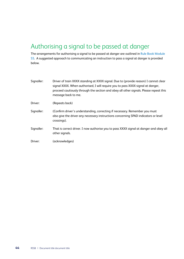# <span id="page-47-0"></span>Authorising a signal to be passed at danger

The arrangements for authorising a signal to be passed at danger are outlined in Rule Book Module S5. A suggested approach to communicating an instruction to pass a signal at danger is provided below.

| Signaller: | Driver of train XXXX standing at XXXX signal. Due to (provide reason) I cannot clear<br>signal XXXX. When authorised, I will require you to pass XXXX signal at danger,<br>proceed cautiously through the section and obey all other signals. Please repeat this<br>message back to me. |
|------------|-----------------------------------------------------------------------------------------------------------------------------------------------------------------------------------------------------------------------------------------------------------------------------------------|
| Driver:    | (Repeats back)                                                                                                                                                                                                                                                                          |
| Signaller: | (Confirm driver's understanding, correcting if necessary. Remember you must<br>also give the driver any necessary instructions concerning SPAD indicators or level<br>crossings).                                                                                                       |
| Signaller: | That is correct driver. I now authorise you to pass XXXX signal at danger and obey all<br>other signals.                                                                                                                                                                                |
| Driver:    | (acknowledges)                                                                                                                                                                                                                                                                          |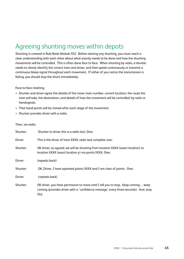## <span id="page-48-0"></span>Agreeing shunting moves within depots

Shunting is covered in Rule Book Module SS2. Before starting any shunting, you must reach a clear understanding with each other about what exactly needs to be done and how the shunting movements will be controlled. This is often done face to face. When shunting by radio, a shunter needs to clearly identify the correct train and driver, and then speak continuously or transmit a continuous bleep signal throughout each movement. If either of you notice the transmission is failing, you should stop the shunt immediately.

Face-to-face meeting:

- Shunter and driver agree the details of the move: train number, current location, the route the train will take, the destination, and details of how the movement will be controlled: by radio or handsignals.
- That hand points will be moved after each stage of the movement.
- Shunter provides driver with a radio.

| Shunter: | Shunter to driver this is a radio test. Over.                                                                                                                                     |
|----------|-----------------------------------------------------------------------------------------------------------------------------------------------------------------------------------|
| Driver:  | This is the driver of train XXXX, radio test complete over.                                                                                                                       |
| Shunter: | OK driver, as agreed, we will be shunting from location XXXX (exact location) to<br>location XXXX (exact location y) via points XXXX. Over.                                       |
| Driver:  | (repeats back)                                                                                                                                                                    |
| Shunter: | OK, Driver, I have operated points XXXX and I am clear of points. Over.                                                                                                           |
| Driver:  | (repeats back)                                                                                                                                                                    |
| Shunter: | OK driver, you have permission to move until I tell you to stop. Keep coming keep<br>coming (provides driver with a 'confidence message' every three seconds). And, stop.<br>Out. |
|          |                                                                                                                                                                                   |

#### Then, via radio: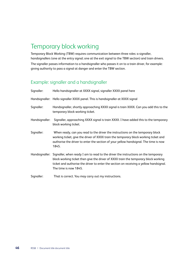# <span id="page-49-0"></span>Temporary block working

Temporary Block Working (TBW) requires communication between three roles: a signaller, handsignallers (one at the entry signal; one at the exit signal to the TBW section) and train drivers. The signaller passes information to a handsignaller who passes it on to a train driver, for example: giving authority to pass a signal at danger and enter the TBW section.

### Example: signaller and a handsignaller

| Signaller:     | Hello handsignaller at XXXX signal, signaller XXXX panel here                                                                                                                                                                                                                                               |
|----------------|-------------------------------------------------------------------------------------------------------------------------------------------------------------------------------------------------------------------------------------------------------------------------------------------------------------|
|                | Handsignaller: Hello signaller XXXX panel. This is handsignaller at XXXX signal                                                                                                                                                                                                                             |
| Signaller:     | Handsignaller, shortly approaching XXXX signal is train XXXX. Can you add this to the<br>temporary block working ticket.                                                                                                                                                                                    |
| Handsignaller: | Signaller, approaching XXXX signal is train XXXX. I have added this to the temporary<br>block working ticket.                                                                                                                                                                                               |
| Signaller:     | When ready, can you read to the driver the instructions on the temporary block<br>working ticket, give the driver of XXXX train the temporary block working ticket and<br>authorise the driver to enter the section of your yellow handsignal. The time is now<br>1845.                                     |
|                | Handsignaller: Signaller, when ready I am to read to the driver the instructions on the temporary<br>block working ticket then give the driver of XXXX train the temporary block working<br>ticket and authorise the driver to enter the section on receiving a yellow handsignal.<br>The time is now 1845. |
| Signaller:     | That is correct. You may carry out my instructions.                                                                                                                                                                                                                                                         |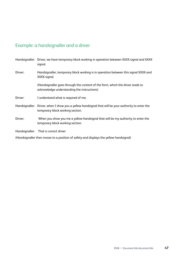### Example: a handsignaller and a driver

|         | Handsignaller: Driver, we have temporary block working in operation between XXXX signal and XXXX<br>signal.                             |
|---------|-----------------------------------------------------------------------------------------------------------------------------------------|
| Driver: | Handsignaller, temporary block working is in operation between this signal XXXX and<br>XXXX signal.                                     |
|         | (Handsignaller goes through the content of the form, which the driver reads to<br>acknowledge understanding the instructions)           |
| Driver: | I understand what is required of me.                                                                                                    |
|         | Handsignaller: Driver, when I show you a yellow handsignal that will be your authority to enter the<br>temporary block working section. |
| Driver: | When you show you me a yellow handsignal that will be my authority to enter the<br>temporary block working section.                     |
|         | Handsignaller: That is correct driver                                                                                                   |
|         | (Handsignaller then moves to a position of safety and displays the yellow handsignal)                                                   |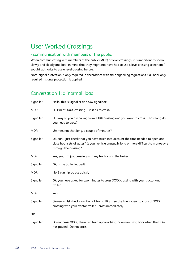## <span id="page-51-0"></span>User Worked Crossings

### - communication with members of the public

When communicating with members of the public (MOP) at level crossings, it is important to speak slowly and clearly and bear in mind that they might not have had to use a level crossing telephone/ sought authority to use a level crossing before.

Note, signal protection is only required in accordance with train signalling regulations. Call back only required if signal protection is applied.

### Conversation 1: a 'normal' load

| Signaller: | Hello, this is Signaller at XXXX signalbox                                                                                                                                                            |
|------------|-------------------------------------------------------------------------------------------------------------------------------------------------------------------------------------------------------|
| MOP:       | Hi, I'm at XXXX crossing is it ok to cross?                                                                                                                                                           |
| Signaller: | Hi, okay so you are calling from XXXX crossing and you want to cross how long do<br>you need to cross?                                                                                                |
| MOP:       | Ummm, not that long, a couple of minutes?                                                                                                                                                             |
| Signaller: | Ok, can I just check that you have taken into account the time needed to open and<br>close both sets of gates? Is your vehicle unusually long or more difficult to manoeuvre<br>through the crossing? |
| MOP:       | Yes, yes, I'm just crossing with my tractor and the trailer                                                                                                                                           |
| Signaller: | Ok, is the trailer loaded?                                                                                                                                                                            |
| MOP:       | No, I can nip across quickly                                                                                                                                                                          |
| Signaller: | Ok, you have asked for two minutes to cross XXXX crossing with your tractor and<br>trailer                                                                                                            |
| MOP:       | Yep                                                                                                                                                                                                   |
| Signaller: | [Pause whilst checks location of trains] Right, so the line is clear to cross at XXXX<br>crossing with your tractor trailercross immediately                                                          |
| <b>OR</b>  |                                                                                                                                                                                                       |
| Signaller: | Do not cross XXXX, there is a train approaching. Give me a ring back when the train<br>has passed. Do not cross.                                                                                      |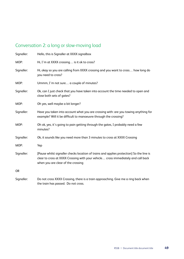### Conversation 2: a long or slow-moving load

the train has passed. Do not cross.

| Signaller: | Hello, this is Signaller at XXXX signalbox                                                                                                                                                                          |
|------------|---------------------------------------------------------------------------------------------------------------------------------------------------------------------------------------------------------------------|
| MOP:       | Hi, I'm at XXXX crossing is it ok to cross?                                                                                                                                                                         |
| Signaller: | Hi, okay so you are calling from XXXX crossing and you want to cross how long do<br>you need to cross?                                                                                                              |
| MOP:       | Ummm, I'm not sure a couple of minutes?                                                                                                                                                                             |
| Signaller: | Ok, can I just check that you have taken into account the time needed to open and<br>close both sets of gates?                                                                                                      |
| MOP:       | Oh yes, well maybe a bit longer?                                                                                                                                                                                    |
| Signaller: | Have you taken into account what you are crossing with: are you towing anything for<br>example? Will it be difficult to manoeuvre through the crossing?                                                             |
| MOP:       | Oh ok, yes, it's going to pain getting through the gates, I probably need a few<br>minutes?                                                                                                                         |
| Signaller: | Ok, it sounds like you need more than 3 minutes to cross at XXXX Crossing                                                                                                                                           |
| MOP:       | Yep                                                                                                                                                                                                                 |
| Signaller: | [Pause whilst signaller checks location of trains and applies protection] So the line is<br>clear to cross at XXXX Crossing with your vehicle cross immediately and call back<br>when you are clear of the crossing |
| <b>OR</b>  |                                                                                                                                                                                                                     |
| Signaller: | Do not cross XXXX Crossing, there is a train approaching. Give me a ring back when                                                                                                                                  |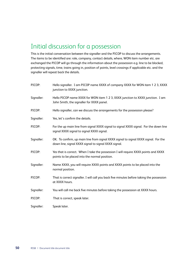## <span id="page-53-0"></span>Initial discussion for a possession

This is the initial conversation between the signaller and the PICOP to discuss the arrangements. The items to be identified are: role, company, contact details, where, WON item number etc. are exchanged the PICOP will go through the information about the possession e.g. line to be blocked, protecting signals, time, trains going in, position of points, level crossings if applicable etc. and the signaller will repeat back the details.

| PICOP:     | Hello signaller. I am PICOP name XXXX of company XXXX for WON item 1 2 3, XXXX<br>junction to XXXX junction.                                |
|------------|---------------------------------------------------------------------------------------------------------------------------------------------|
| Signaller: | Hello PICOP name XXXX for WON item 1 2 3, XXXX junction to XXXX junction. I am<br>John Smith, the signaller for XXXX panel.                 |
| PICOP:     | Hello signaller, can we discuss the arrangements for the possession please?                                                                 |
| Signaller: | Yes, let's confirm the details.                                                                                                             |
| PICOP:     | For the up main line from signal XXXX signal to signal XXXX signal. For the down line<br>signal XXXX signal to signal XXXX signal.          |
| Signaller: | OK. To confirm, up main line from signal XXXX signal to signal XXXX signal. For the<br>down line, signal XXXX signal to signal XXXX signal. |
| PICOP:     | Yes that is correct. When I take the possession I will require XXXX points and XXXX<br>points to be placed into the normal position.        |
| Signaller: | Name XXXX, you will require XXXX points and XXXX points to be placed into the<br>normal position.                                           |
| PICOP:     | That is correct signaller. I will call you back five minutes before taking the possession<br>at XXXX hours.                                 |
| Signaller: | You will call me back five minutes before taking the possession at XXXX hours.                                                              |
| PICOP:     | That is correct, speak later.                                                                                                               |
| Signaller: | Speak later.                                                                                                                                |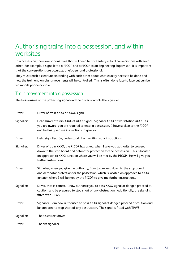## <span id="page-54-0"></span>Authorising trains into a possession, and within worksites

In a possession, there are various roles that will need to have safety critical conversations with each other. For example, a signaller to a PICOP and a PICOP to an Engineering Supervisor. It is important that the conversations are accurate, brief, clear and professional.

They must reach a clear understanding with each other about what exactly needs to be done and how the train and on-plant movements will be controlled. This is often done face to face but can be via mobile phone or radio.

### Train movement into a possession

The train arrives at the protecting signal and the driver contacts the signaller.

| Driver:    | Driver of train XXXX at XXXX signal                                                                                                                                                                                                                                                   |
|------------|---------------------------------------------------------------------------------------------------------------------------------------------------------------------------------------------------------------------------------------------------------------------------------------|
| Signaller: | Hello Driver of train XXXX at XXXX signal. Signaller XXXX at workstation XXXX. As<br>you are aware, you are required to enter a possession. I have spoken to the PICOP<br>and he has given me instructions to give you.                                                               |
| Driver:    | Hello signaller. Ok, understood. I am waiting your instructions.                                                                                                                                                                                                                      |
| Signaller: | Driver of train XXXX, the PICOP has asked, when I give you authority, to proceed<br>down to the stop board and detonator protection for the possession. This is located<br>on approach to XXXX junction where you will be met by the PICOP. He will give you<br>further instructions. |
| Driver:    | Signaller, when you give me authority, I am to proceed down to the stop board<br>and detonator protection for the possession, which is located on approach to XXXX<br>junction where I will be met by the PICOP to give me further instructions.                                      |
| Signaller: | Driver, that is correct. I now authorise you to pass XXXX signal at danger, proceed at<br>caution, and be prepared to stop short of any obstruction. Additionally, the signal is<br>fitted with TPWS.                                                                                 |
| Driver:    | Signaller, I am now authorised to pass XXXX signal at danger, proceed at caution and<br>be prepared to stop short of any obstruction. The signal is fitted with TPWS.                                                                                                                 |
| Signaller: | That is correct driver.                                                                                                                                                                                                                                                               |
| Driver:    | Thanks signaller.                                                                                                                                                                                                                                                                     |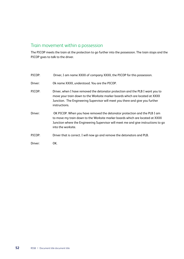### Train movement within a possession

The PICOP meets the train at the protection to go further into the possession. The train stops and the PICOP goes to talk to the driver.

- PICOP: Driver, I am name XXXX of company XXXX, the PICOP for this possession.
- Driver: Ok name XXXX, understood. You are the PICOP.
- PICOP: Driver, when I have removed the detonator protection and the PLB I want you to move your train down to the Worksite marker boards which are located at XXXX Junction. The Engineering Supervisor will meet you there and give you further instructions.
- Driver: OK PICOP. When you have removed the detonator protection and the PLB I am to move my train down to the Worksite marker boards which are located at XXXX Junction where the Engineering Supervisor will meet me and give instructions to go into the worksite.
- PICOP: Driver that is correct. I will now go and remove the detonators and PLB.

Driver: OK.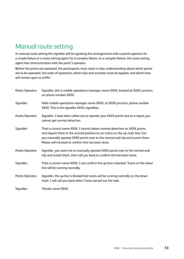## <span id="page-56-0"></span>Manual route setting

In manual route setting the signaller will be agreeing the arrangements with a points operator for a simple failure or a route setting agent for a complex failure. In a complex failure, the route setting agent has communication with the point's operator.

Before the points are operated, the participants must reach a clear understanding about which points are to be operated, the order of operation, which clips and scotches must be applied, and which lines will remain open to traffic.

| Points Operator: | Signaller, this is mobile operations manager name XXXX, located at XXXX junction,<br>on phone number XXXX.                                                                                                                                                                                           |
|------------------|------------------------------------------------------------------------------------------------------------------------------------------------------------------------------------------------------------------------------------------------------------------------------------------------------|
| Signaller:       | Hello mobile operations manager name XXXX, at XXXX junction, phone number<br>XXXX. This is the signaller XXXX, signalbox.                                                                                                                                                                            |
| Points Operator: | Signaller, I have been called out to operate your XXXX points due to a report you<br>cannot get normal detection.                                                                                                                                                                                    |
| Signaller:       | That is correct name XXXX. I cannot obtain normal detection on XXXX points,<br>and require them in the normal position to run trains on the up main line. Can<br>you manually operate XXXX points over to the normal and clip and scotch them.<br>Please call me back to confirm this has been done. |
| Points Operator: | Signaller, you want me to manually operate XXXX points over to the normal and<br>clip and scotch them, then call you back to confirm this has been done.                                                                                                                                             |
| Signaller:       | That is correct name XXXX, I can confirm the up line is blocked. Trains on the down<br>line will be running normally.                                                                                                                                                                                |
| Points Operator: | Signaller, the up line is blocked but trains will be running normally on the down<br>main. I will call you back when I have carried out the task.                                                                                                                                                    |
| Signaller:       | Thanks name XXXX.                                                                                                                                                                                                                                                                                    |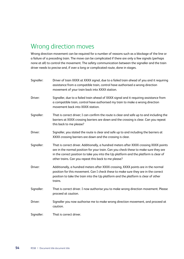## <span id="page-57-0"></span>Wrong direction moves

Wrong direction movement can be required for a number of reasons such as a blockage of the line or a failure of a preceding train. The move can be complicated if there are only a few signals (perhaps none at all) to control the movement. The safety communication between the signaller and the train driver needs to precise and, if over a long or complicated route, done in stages.

Signaller: Driver of train XXXX at XXXX signal, due to a failed train ahead of you and it requiring assistance from a compatible train, control have authorised a wrong direction movement of your train back into XXXX station. Driver: Signaller, due to a failed train ahead of XXXX signal and it requiring assistance from a compatible train, control have authorised my train to make a wrong direction movement back into XXXX station. Signaller: That is correct driver; I can confirm the route is clear and safe up to and including the barriers at XXXX crossing barriers are down and the crossing is clear. Can you repeat this back to me please? Driver: Signaller, you stated the route is clear and safe up to and including the barriers at XXXX crossing barriers are down and the crossing is clear. Signaller: That is correct driver. Additionally, a hundred meters after XXXX crossing XXXX points are in the normal position for your train. Can you check these to make sure they are in the correct position to take you into the Up platform and the platform is clear of other trains. Can you repeat this back to me please? Driver: Additionally, a hundred meters after XXXX crossing, XXXX points are in the normal position for this movement. Can I check these to make sure they are in the correct position to take the train into the Up platform and the platform is clear of other trains. Signaller: That is correct driver. I now authorise you to make wrong direction movement. Please proceed at caution. Driver: Signaller you now authorise me to make wrong direction movement, and proceed at caution. Signaller: That is correct driver.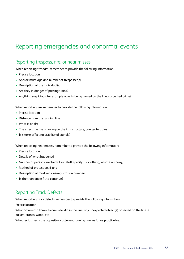## <span id="page-58-0"></span>Reporting emergencies and abnormal events

### Reporting trespass, fire, or near misses

When reporting trespass, remember to provide the following information:

- Precise location
- Approximate age and number of trespasser(s)
- Description of the individual(s)
- Are they in danger of passing trains?
- Anything suspicious, for example objects being placed on the line, suspected crime?

When reporting fire, remember to provide the following information:

- Precise location
- Distance from the running line
- What is on fire
- The effect the fire is having on the infrastructure, danger to trains
- Is smoke affecting visibility of signals?

When reporting near misses, remember to provide the following information:

- Precise location
- Details of what happened
- Number of persons involved (if rail staff specify HV clothing, which Company)
- Method of protection, if any
- Description of road vehicles/registration numbers
- Is the train driver fit to continue?

### Reporting Track Defects

When reporting track defects, remember to provide the following information:

Precise location

What occurred: a throw to one side, dip in the line, any unexpected object(s) observed on the line ie ballast, stones, wood, etc

Whether it affects the opposite or adjacent running line, as far as practicable.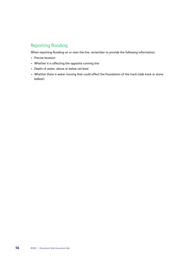### Reporting flooding

When reporting flooding on or near the line, remember to provide the following information:

- Precise location
- Whether it is affecting the opposite running line
- Depth of water, above or below rail level
- Whether there is water moving that could affect the foundation of the track (slab track or stone ballast)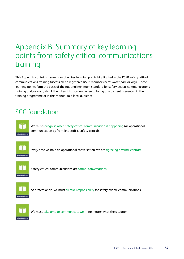# <span id="page-60-0"></span>Appendix B: Summary of key learning points from safety critical communications training

This Appendix contains a summary of all key learning points highlighted in the RSSB safety critical communications training (accessible to registered RSSB members here: www.sparkrail.org). These learning points form the basis of the national minimum standard for safety critical communications training and, as such, should be taken into account when tailoring any content presented in the training programme or in this manual to a local audience.

## SCC foundation



We must recognise when safety critical communication is happening (all operational communication by front-line staff is safety critical).



Every time we hold an operational conversation, we are agreeing a verbal contract.



Safety critical communications are formal conversations.



As professionals, we must all take responsibility for safety critical communications.



We must take time to communicate well – no matter what the situation.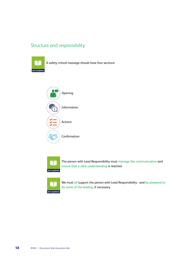### Structure and responsibility



A safety critical message should have four sections:





The person with Lead Responsibility must manage the communication and ensure that a clear understanding is reached.



We must all support the person with Lead Responsibility - and be prepared to do some of the leading, if necessary.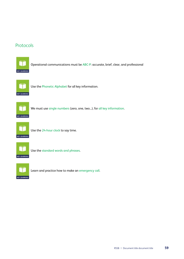### Protocols



Operational communications must be ABC-P: accurate, brief, clear, and professional



Use the Phonetic Alphabet for all key information.



We must use single numbers (zero, one, two...), for all key information.



Use the 24-hour clock to say time.



Use the standard words and phrases.



Learn and practice how to make an emergency call.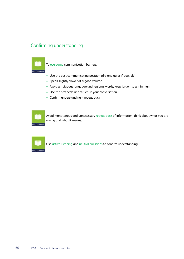### Confirming understanding



To overcome communication barriers:

- Use the best communicating position (dry and quiet if possible)
- Speak slightly slower at a good volume
- Avoid ambiguous language and regional words; keep jargon to a minimum
- Use the protocols and structure your conversation
- Confirm understanding repeat back

Avoid monotonous and unnecessary repeat-back of information; think about what you are saying and what it means.



Use active listening and neutral questions to confirm understanding.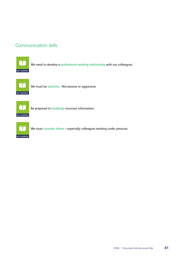### Communication skills



We need to develop a professional working relationship with our colleagues.



We must be assertive. Not passive or aggressive.



Be prepared to challenge incorrect information.



We must consider others – especially colleagues working under pressure.